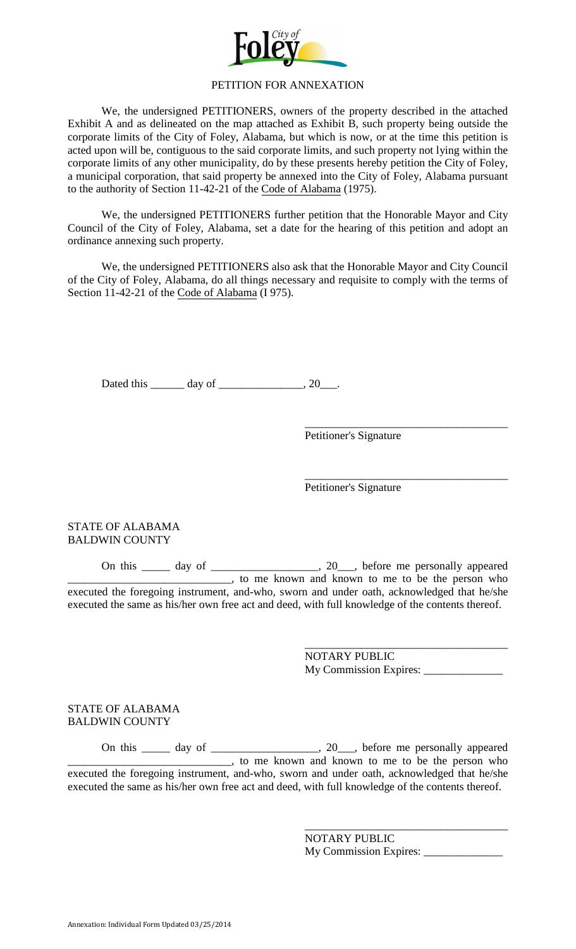

#### PETITION FOR ANNEXATION

We, the undersigned PETITIONERS, owners of the property described in the attached Exhibit A and as delineated on the map attached as Exhibit B, such property being outside the corporate limits of the City of Foley, Alabama, but which is now, or at the time this petition is acted upon will be, contiguous to the said corporate limits, and such property not lying within the corporate limits of any other municipality, do by these presents hereby petition the City of Foley, a municipal corporation, that said property be annexed into the City of Foley, Alabama pursuant to the authority of Section 11-42-21 of the Code of Alabama (1975).

We, the undersigned PETITIONERS further petition that the Honorable Mayor and City Council of the City of Foley, Alabama, set a date for the hearing of this petition and adopt an ordinance annexing such property.

We, the undersigned PETITIONERS also ask that the Honorable Mayor and City Council of the City of Foley, Alabama, do all things necessary and requisite to comply with the terms of Section 11-42-21 of the Code of Alabama (I 975).

Dated this \_\_\_\_\_\_\_ day of \_\_\_\_\_\_\_\_\_\_\_\_\_\_, 20\_\_\_.

Petitioner's Signature

\_\_\_\_\_\_\_\_\_\_\_\_\_\_\_\_\_\_\_\_\_\_\_\_\_\_\_\_\_\_\_\_\_\_\_\_ Petitioner's Signature

### STATE OF ALABAMA BALDWIN COUNTY

On this \_\_\_\_\_ day of \_\_\_\_\_\_\_\_\_\_\_\_\_\_\_\_\_\_\_, 20\_\_\_, before me personally appeared **EXECUTE:** The same of the same of the same of the same of the same of the person who executed the foregoing instrument, and-who, sworn and under oath, acknowledged that he/she executed the same as his/her own free act and deed, with full knowledge of the contents thereof.

> \_\_\_\_\_\_\_\_\_\_\_\_\_\_\_\_\_\_\_\_\_\_\_\_\_\_\_\_\_\_\_\_\_\_\_\_ NOTARY PUBLIC My Commission Expires: \_\_\_\_\_\_\_\_\_\_\_\_\_\_

> \_\_\_\_\_\_\_\_\_\_\_\_\_\_\_\_\_\_\_\_\_\_\_\_\_\_\_\_\_\_\_\_\_\_\_\_

STATE OF ALABAMA BALDWIN COUNTY

On this \_\_\_\_\_ day of \_\_\_\_\_\_\_\_\_\_\_\_\_\_\_\_\_\_\_, 20\_\_\_, before me personally appeared **EXECUTE:** The same of the same of the same of the same of the same of the person who executed the foregoing instrument, and-who, sworn and under oath, acknowledged that he/she executed the same as his/her own free act and deed, with full knowledge of the contents thereof.

> NOTARY PUBLIC My Commission Expires: \_\_\_\_\_\_\_\_\_\_\_\_\_\_

\_\_\_\_\_\_\_\_\_\_\_\_\_\_\_\_\_\_\_\_\_\_\_\_\_\_\_\_\_\_\_\_\_\_\_\_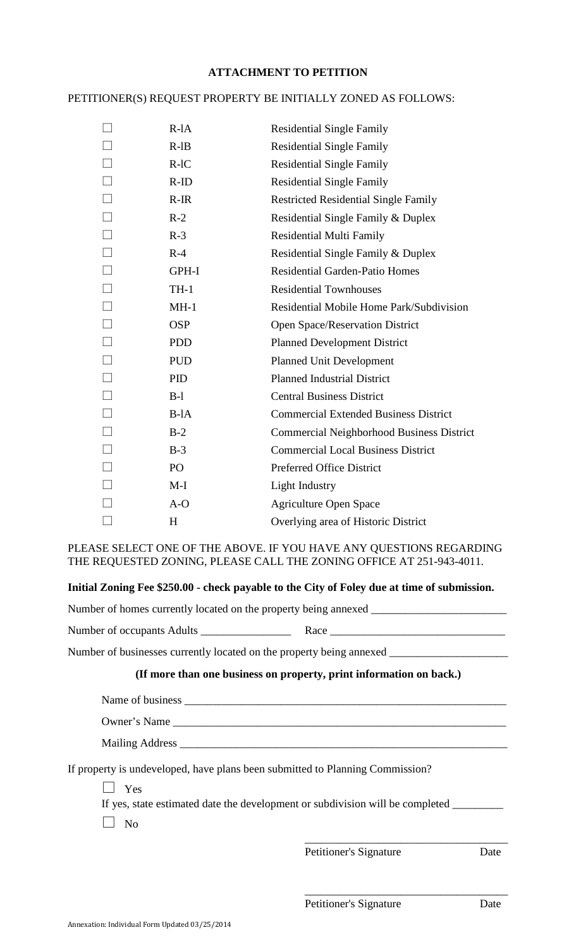# **ATTACHMENT TO PETITION**

# PETITIONER(S) REQUEST PROPERTY BE INITIALLY ZONED AS FOLLOWS:

|        | $R$ -l $A$ | <b>Residential Single Family</b>                 |
|--------|------------|--------------------------------------------------|
|        | $R$ -l $B$ | <b>Residential Single Family</b>                 |
|        |            |                                                  |
|        | $R-IC$     | <b>Residential Single Family</b>                 |
|        | $R-ID$     | <b>Residential Single Family</b>                 |
|        | $R-IR$     | <b>Restricted Residential Single Family</b>      |
|        | $R-2$      | Residential Single Family & Duplex               |
|        | $R-3$      | <b>Residential Multi Family</b>                  |
| $\Box$ | $R-4$      | Residential Single Family & Duplex               |
| $\Box$ | GPH-I      | <b>Residential Garden-Patio Homes</b>            |
| $\Box$ | $TH-1$     | <b>Residential Townhouses</b>                    |
| $\Box$ | $MH-1$     | Residential Mobile Home Park/Subdivision         |
|        | <b>OSP</b> | Open Space/Reservation District                  |
| $\Box$ | <b>PDD</b> | <b>Planned Development District</b>              |
| $\Box$ | <b>PUD</b> | <b>Planned Unit Development</b>                  |
| $\Box$ | <b>PID</b> | <b>Planned Industrial District</b>               |
| $\Box$ | $B-1$      | <b>Central Business District</b>                 |
| $\Box$ | $B$ -l $A$ | <b>Commercial Extended Business District</b>     |
| $\Box$ | $B-2$      | <b>Commercial Neighborhood Business District</b> |
| $\Box$ | $B-3$      | <b>Commercial Local Business District</b>        |
|        | PO         | Preferred Office District                        |
|        | $M-I$      | <b>Light Industry</b>                            |
|        | $A-O$      | <b>Agriculture Open Space</b>                    |
|        | H          | Overlying area of Historic District              |

PLEASE SELECT ONE OF THE ABOVE. IF YOU HAVE ANY QUESTIONS REGARDING THE REQUESTED ZONING, PLEASE CALL THE ZONING OFFICE AT 251-943-4011.

## **Initial Zoning Fee \$250.00 - check payable to the City of Foley due at time of submission.**

Number of homes currently located on the property being annexed \_\_\_\_\_\_\_\_\_\_\_\_\_\_\_\_\_\_\_\_\_\_\_\_

Number of occupants Adults \_\_\_\_\_\_\_\_\_\_\_\_\_\_\_\_ Race \_\_\_\_\_\_\_\_\_\_\_\_\_\_\_\_\_\_\_\_\_\_\_\_\_\_\_\_\_\_\_

Number of businesses currently located on the property being annexed \_\_\_\_\_\_\_\_\_\_\_

### **(If more than one business on property, print information on back.)**

| Name of business |  |  |
|------------------|--|--|
|                  |  |  |
| Owner's Name     |  |  |

Mailing Address \_\_\_\_\_\_\_\_\_\_\_\_\_\_\_\_\_\_\_\_\_\_\_\_\_\_\_\_\_\_\_\_\_\_\_\_\_\_\_\_\_\_\_\_\_\_\_\_\_\_\_\_\_\_\_\_\_\_

If property is undeveloped, have plans been submitted to Planning Commission?

 $\Box$  Yes

If yes, state estimated date the development or subdivision will be completed \_\_\_\_\_\_\_\_

 $\Box$  No

\_\_\_\_\_\_\_\_\_\_\_\_\_\_\_\_\_\_\_\_\_\_\_\_\_\_\_\_\_\_\_\_\_\_\_\_ Petitioner's Signature Date

\_\_\_\_\_\_\_\_\_\_\_\_\_\_\_\_\_\_\_\_\_\_\_\_\_\_\_\_\_\_\_\_\_\_\_\_